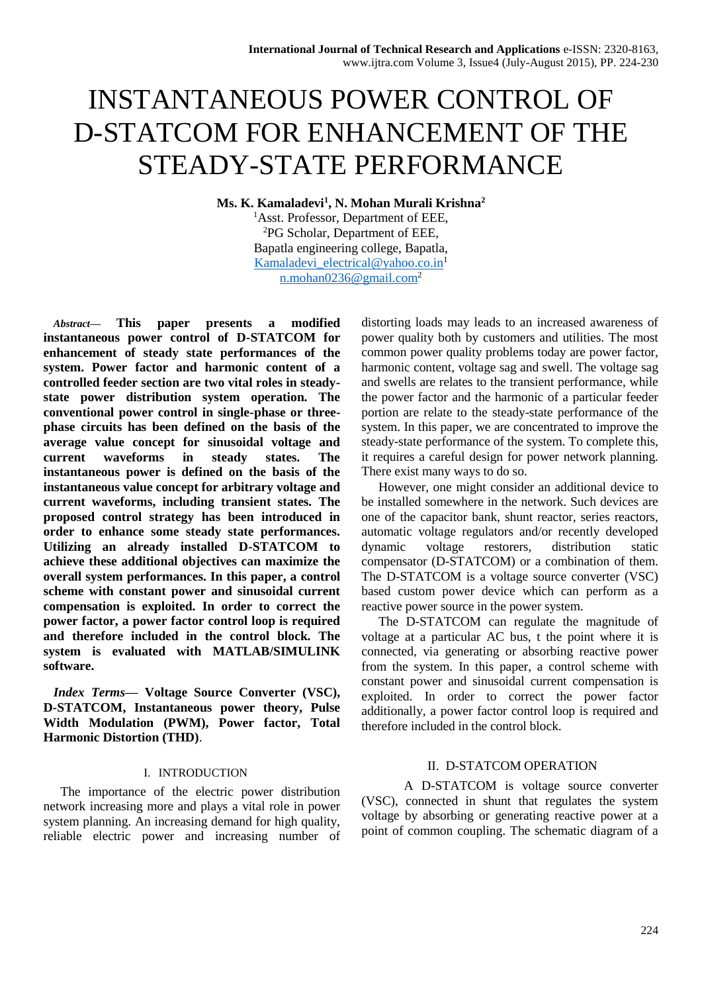# INSTANTANEOUS POWER CONTROL OF D-STATCOM FOR ENHANCEMENT OF THE STEADY-STATE PERFORMANCE

**Ms. K. Kamaladevi<sup>1</sup> , N. Mohan Murali Krishna<sup>2</sup>** <sup>1</sup>Asst. Professor, Department of EEE. <sup>2</sup>PG Scholar, Department of EEE, Bapatla engineering college, Bapatla, [Kamaladevi\\_electrical@yahoo.co.in](mailto:Kamaladevi_electrical@yahoo.co.in)<sup>1</sup> [n.mohan0236@gmail.com](mailto:n.mohan0236@gmail.com)<sup>2</sup>

*Abstract***— This paper presents a modified instantaneous power control of D-STATCOM for enhancement of steady state performances of the system. Power factor and harmonic content of a controlled feeder section are two vital roles in steadystate power distribution system operation. The conventional power control in single-phase or threephase circuits has been defined on the basis of the average value concept for sinusoidal voltage and current waveforms in steady states. The instantaneous power is defined on the basis of the instantaneous value concept for arbitrary voltage and current waveforms, including transient states. The proposed control strategy has been introduced in order to enhance some steady state performances. Utilizing an already installed D-STATCOM to achieve these additional objectives can maximize the overall system performances. In this paper, a control scheme with constant power and sinusoidal current compensation is exploited. In order to correct the power factor, a power factor control loop is required and therefore included in the control block. The system is evaluated with MATLAB/SIMULINK software.**

*Index Terms***— Voltage Source Converter (VSC), D-STATCOM, Instantaneous power theory, Pulse Width Modulation (PWM), Power factor, Total Harmonic Distortion (THD)**.

## I. INTRODUCTION

The importance of the electric power distribution network increasing more and plays a vital role in power system planning. An increasing demand for high quality, reliable electric power and increasing number of distorting loads may leads to an increased awareness of power quality both by customers and utilities. The most common power quality problems today are power factor, harmonic content, voltage sag and swell. The voltage sag and swells are relates to the transient performance, while the power factor and the harmonic of a particular feeder portion are relate to the steady-state performance of the system. In this paper, we are concentrated to improve the steady-state performance of the system. To complete this, it requires a careful design for power network planning. There exist many ways to do so.

However, one might consider an additional device to be installed somewhere in the network. Such devices are one of the capacitor bank, shunt reactor, series reactors, automatic voltage regulators and/or recently developed dynamic voltage restorers, distribution static compensator (D-STATCOM) or a combination of them. The D-STATCOM is a voltage source converter (VSC) based custom power device which can perform as a reactive power source in the power system.

The D-STATCOM can regulate the magnitude of voltage at a particular AC bus, t the point where it is connected, via generating or absorbing reactive power from the system. In this paper, a control scheme with constant power and sinusoidal current compensation is exploited. In order to correct the power factor additionally, a power factor control loop is required and therefore included in the control block.

## II. D-STATCOM OPERATION

A D-STATCOM is voltage source converter (VSC), connected in shunt that regulates the system voltage by absorbing or generating reactive power at a point of common coupling. The schematic diagram of a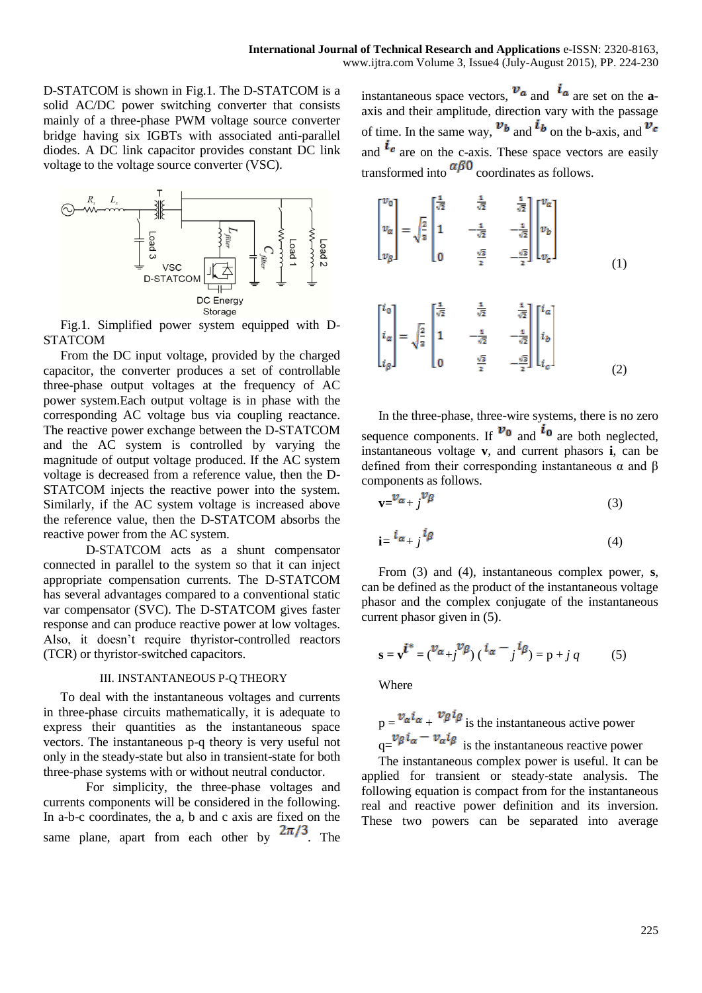D-STATCOM is shown in Fig.1. The D-STATCOM is a solid AC/DC power switching converter that consists mainly of a three-phase PWM voltage source converter bridge having six IGBTs with associated anti-parallel diodes. A DC link capacitor provides constant DC link voltage to the voltage source converter (VSC).



Fig.1. Simplified power system equipped with D-STATCOM

From the DC input voltage, provided by the charged capacitor, the converter produces a set of controllable three-phase output voltages at the frequency of AC power system.Each output voltage is in phase with the corresponding AC voltage bus via coupling reactance. The reactive power exchange between the D-STATCOM and the AC system is controlled by varying the magnitude of output voltage produced. If the AC system voltage is decreased from a reference value, then the D-STATCOM injects the reactive power into the system. Similarly, if the AC system voltage is increased above the reference value, then the D-STATCOM absorbs the reactive power from the AC system.

D-STATCOM acts as a shunt compensator connected in parallel to the system so that it can inject appropriate compensation currents. The D-STATCOM has several advantages compared to a conventional static var compensator (SVC). The D-STATCOM gives faster response and can produce reactive power at low voltages. Also, it doesn't require thyristor-controlled reactors (TCR) or thyristor-switched capacitors.

## III. INSTANTANEOUS P-Q THEORY

To deal with the instantaneous voltages and currents in three-phase circuits mathematically, it is adequate to express their quantities as the instantaneous space vectors. The instantaneous p-q theory is very useful not only in the steady-state but also in transient-state for both three-phase systems with or without neutral conductor.

For simplicity, the three-phase voltages and currents components will be considered in the following. In a-b-c coordinates, the a, b and c axis are fixed on the same plane, apart from each other by  $2\pi/3$ . The

instantaneous space vectors,  $\mathbf{v}_a$  and  $\mathbf{i}_a$  are set on the **a**axis and their amplitude, direction vary with the passage of time. In the same way,  $v_b$  and  $i_b$  on the b-axis, and  $v_c$ and  $\iota$  are on the c-axis. These space vectors are easily transformed into  $\alpha\beta0$  coordinates as follows.

$$
\begin{bmatrix} v_0 \\ v_\alpha \\ v_\beta \end{bmatrix} = \sqrt{\frac{2}{3}} \begin{bmatrix} \frac{1}{\sqrt{2}} & \frac{1}{\sqrt{2}} & \frac{1}{\sqrt{2}} \\ 1 & -\frac{1}{\sqrt{2}} & -\frac{1}{\sqrt{2}} \\ 0 & \frac{\sqrt{3}}{2} & -\frac{\sqrt{3}}{2} \end{bmatrix} \begin{bmatrix} v_a \\ v_b \\ v_c \end{bmatrix}
$$
\n
$$
\begin{bmatrix} i_0 \\ i_\alpha \\ i_\beta \end{bmatrix} = \sqrt{\frac{2}{3}} \begin{bmatrix} \frac{1}{\sqrt{2}} & \frac{1}{\sqrt{2}} & \frac{1}{\sqrt{2}} \\ 1 & -\frac{1}{\sqrt{2}} & -\frac{1}{\sqrt{2}} \\ 0 & \frac{\sqrt{3}}{2} & -\frac{\sqrt{3}}{2} \end{bmatrix} \begin{bmatrix} i_a \\ i_b \\ i_c \end{bmatrix}
$$
\n
$$
(1)
$$

In the three-phase, three-wire systems, there is no zero sequence components. If  $v_0$  and  $i_0$  are both neglected, instantaneous voltage **v**, and current phasors **i**, can be defined from their corresponding instantaneous α and β components as follows.

$$
\mathbf{v} = \mathbf{v}_{\alpha + j} \mathbf{v}_{\beta} \tag{3}
$$

$$
\mathbf{i} = \,^i \alpha + j \,^l \beta \tag{4}
$$

From (3) and (4), instantaneous complex power, **s**, can be defined as the product of the instantaneous voltage phasor and the complex conjugate of the instantaneous current phasor given in (5).

$$
s = v^{\hat{i}^*} = ({}^{\mathcal{V}_{\alpha}} + j{}^{\mathcal{V}_{\beta}}) ({}^{\hat{i}_{\alpha} - j{}^{\hat{i}_{\beta}}}) = p + j q
$$
 (5)

Where

 $p = \frac{v_{\alpha} i_{\alpha}}{r} + \frac{v_{\beta} i_{\beta}}{r}$  is the instantaneous active power  $\int_{q=\infty}^{\infty} v \rho i_{\alpha} - v_{\alpha} i_{\beta}$  is the instantaneous reactive power

The instantaneous complex power is useful. It can be applied for transient or steady-state analysis. The following equation is compact from for the instantaneous real and reactive power definition and its inversion. These two powers can be separated into average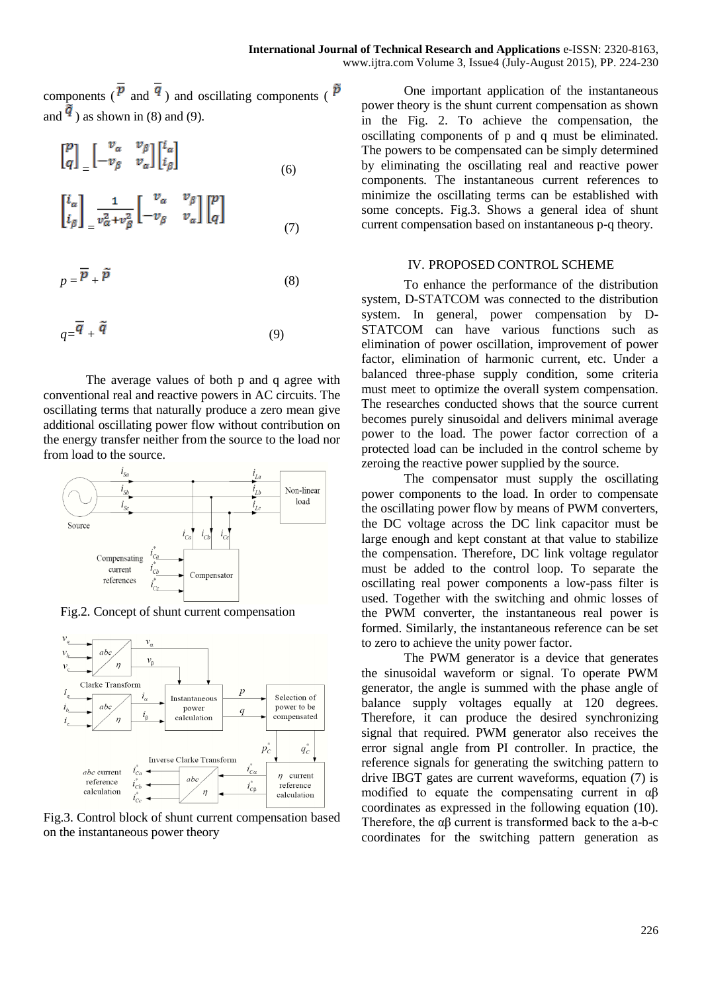components ( $\overline{p}$  and  $\overline{q}$ ) and oscillating components ( $\overline{p}$ ) and  $\frac{q}{s}$ ) as shown in (8) and (9).

$$
\begin{bmatrix} p \\ q \end{bmatrix} = \begin{bmatrix} v_{\alpha} & v_{\beta} \\ -v_{\beta} & v_{\alpha} \end{bmatrix} \begin{bmatrix} i_{\alpha} \\ i_{\beta} \end{bmatrix}
$$
 (6)

$$
\begin{bmatrix} i_{\alpha} \\ i_{\beta} \end{bmatrix}_{\equiv} \frac{1}{v_{\alpha}^2 + v_{\beta}^2} \begin{bmatrix} v_{\alpha} & v_{\beta} \\ -v_{\beta} & v_{\alpha} \end{bmatrix} \begin{bmatrix} p \\ q \end{bmatrix}
$$
\n
$$
(7)
$$

$$
p = \overline{P} + \widetilde{P}
$$
 (8)

$$
q = \overline{q} + \tilde{q} \tag{9}
$$

The average values of both p and q agree with conventional real and reactive powers in AC circuits. The oscillating terms that naturally produce a zero mean give additional oscillating power flow without contribution on the energy transfer neither from the source to the load nor from load to the source.



Fig.2. Concept of shunt current compensation



Fig.3. Control block of shunt current compensation based on the instantaneous power theory

One important application of the instantaneous power theory is the shunt current compensation as shown in the Fig. 2. To achieve the compensation, the oscillating components of p and q must be eliminated. The powers to be compensated can be simply determined by eliminating the oscillating real and reactive power components. The instantaneous current references to minimize the oscillating terms can be established with some concepts. Fig.3. Shows a general idea of shunt current compensation based on instantaneous p-q theory.

## IV. PROPOSED CONTROL SCHEME

To enhance the performance of the distribution system, D-STATCOM was connected to the distribution system. In general, power compensation by D-STATCOM can have various functions such as elimination of power oscillation, improvement of power factor, elimination of harmonic current, etc. Under a balanced three-phase supply condition, some criteria must meet to optimize the overall system compensation. The researches conducted shows that the source current becomes purely sinusoidal and delivers minimal average power to the load. The power factor correction of a protected load can be included in the control scheme by zeroing the reactive power supplied by the source.

The compensator must supply the oscillating power components to the load. In order to compensate the oscillating power flow by means of PWM converters, the DC voltage across the DC link capacitor must be large enough and kept constant at that value to stabilize the compensation. Therefore, DC link voltage regulator must be added to the control loop. To separate the oscillating real power components a low-pass filter is used. Together with the switching and ohmic losses of the PWM converter, the instantaneous real power is formed. Similarly, the instantaneous reference can be set to zero to achieve the unity power factor.

The PWM generator is a device that generates the sinusoidal waveform or signal. To operate PWM generator, the angle is summed with the phase angle of balance supply voltages equally at 120 degrees. Therefore, it can produce the desired synchronizing signal that required. PWM generator also receives the error signal angle from PI controller. In practice, the reference signals for generating the switching pattern to drive IBGT gates are current waveforms, equation (7) is modified to equate the compensating current in αβ coordinates as expressed in the following equation (10). Therefore, the αβ current is transformed back to the a-b-c coordinates for the switching pattern generation as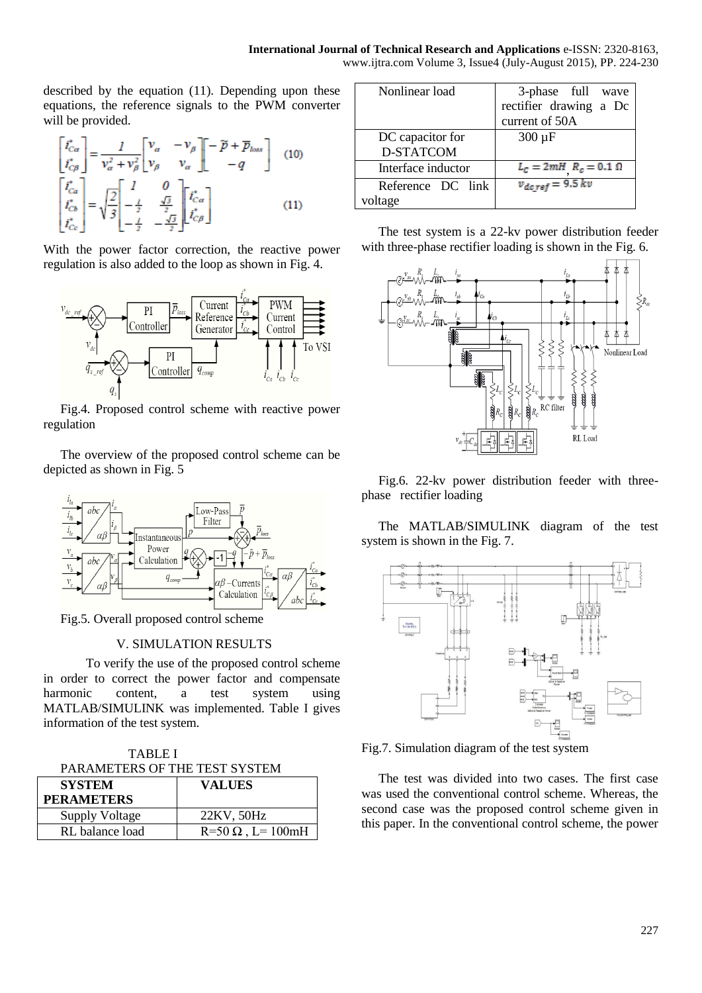described by the equation (11). Depending upon these

equations, the reference signals to the PWM converter will be provided.

$$
\begin{bmatrix} i_{C\alpha}^* \\ i_{C\beta}^* \end{bmatrix} = \frac{1}{v_\alpha^2 + v_\beta^2} \begin{bmatrix} v_\alpha & -v_\beta \\ v_\beta & v_\alpha \end{bmatrix} \begin{bmatrix} -\widetilde{p} + \overline{p}_{loss} \\ -q \end{bmatrix}
$$
 (10)  

$$
\begin{bmatrix} i_{C\alpha}^* \\ i_{C\beta}^* \\ i_{Cc}^* \end{bmatrix} = \sqrt{\frac{2}{3}} \begin{bmatrix} 1 & 0 \\ -\frac{1}{2} & \frac{\sqrt{3}}{2} \\ -\frac{1}{2} & -\frac{\sqrt{3}}{2} \end{bmatrix} \begin{bmatrix} i_{C\alpha}^* \\ i_{C\beta}^* \end{bmatrix}
$$
 (11)

With the power factor correction, the reactive power regulation is also added to the loop as shown in Fig. 4.



Fig.4. Proposed control scheme with reactive power regulation

The overview of the proposed control scheme can be depicted as shown in Fig. 5



Fig.5. Overall proposed control scheme

# V. SIMULATION RESULTS

To verify the use of the proposed control scheme in order to correct the power factor and compensate harmonic content, a test system using MATLAB/SIMULINK was implemented. Table I gives information of the test system.

TABLE I PARAMETERS OF THE TEST SYSTEM

| <b>SYSTEM</b>         | <b>VALUES</b>            |
|-----------------------|--------------------------|
| <b>PERAMETERS</b>     |                          |
| <b>Supply Voltage</b> | 22KV, 50Hz               |
| RL balance load       | $R=50 \Omega$ , L= 100mH |

| Nonlinear load     | 3-phase full wave              |
|--------------------|--------------------------------|
|                    | rectifier drawing a Dc         |
|                    | current of 50A                 |
| DC capacitor for   | $300 \mu F$                    |
| D-STATCOM          |                                |
| Interface inductor | $L_{C}=2mH$ $R_{c}=0.1~\Omega$ |
| Reference DC link  | $v_{dc,ref} = 9.5 kv$          |
| voltage            |                                |

The test system is a 22-kv power distribution feeder with three-phase rectifier loading is shown in the Fig. 6.



Fig.6. 22-kv power distribution feeder with threephase rectifier loading

The MATLAB/SIMULINK diagram of the test system is shown in the Fig. 7.



Fig.7. Simulation diagram of the test system

The test was divided into two cases. The first case was used the conventional control scheme. Whereas, the second case was the proposed control scheme given in this paper. In the conventional control scheme, the power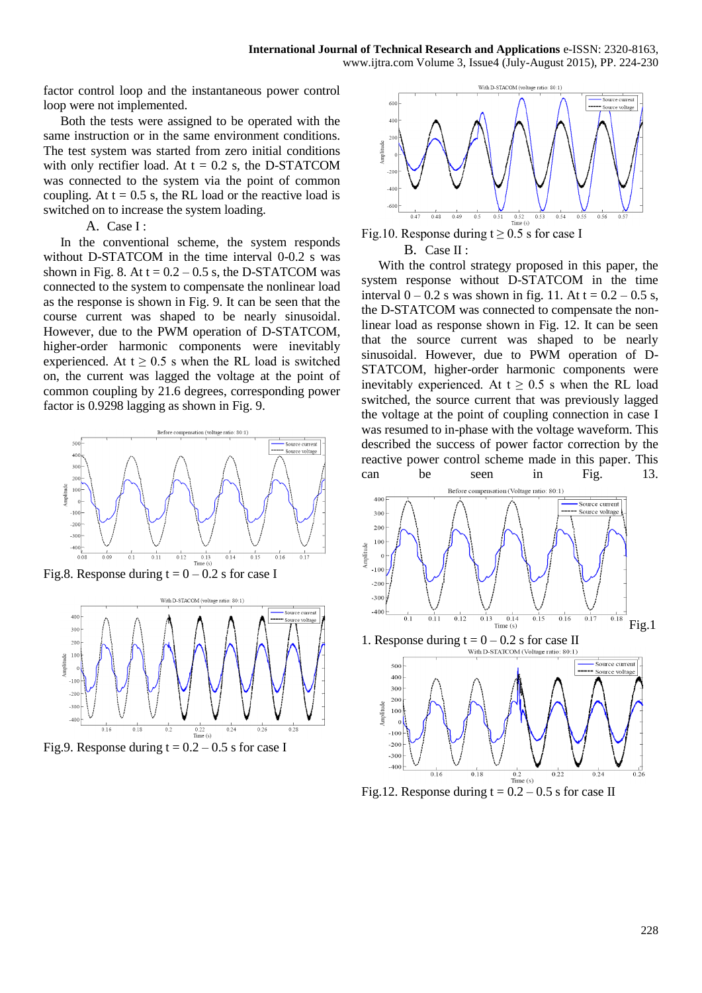factor control loop and the instantaneous power control loop were not implemented.

Both the tests were assigned to be operated with the same instruction or in the same environment conditions. The test system was started from zero initial conditions with only rectifier load. At  $t = 0.2$  s, the D-STATCOM was connected to the system via the point of common coupling. At  $t = 0.5$  s, the RL load or the reactive load is switched on to increase the system loading.

## A. Case I :

In the conventional scheme, the system responds without D-STATCOM in the time interval 0-0.2 s was shown in Fig. 8. At  $t = 0.2 - 0.5$  s, the D-STATCOM was connected to the system to compensate the nonlinear load as the response is shown in Fig. 9. It can be seen that the course current was shaped to be nearly sinusoidal. However, due to the PWM operation of D-STATCOM, higher-order harmonic components were inevitably experienced. At  $t \geq 0.5$  s when the RL load is switched on, the current was lagged the voltage at the point of common coupling by 21.6 degrees, corresponding power factor is 0.9298 lagging as shown in Fig. 9.



Fig.8. Response during  $t = 0 - 0.2$  s for case I









With the control strategy proposed in this paper, the system response without D-STATCOM in the time interval  $0 - 0.2$  s was shown in fig. 11. At  $t = 0.2 - 0.5$  s, the D-STATCOM was connected to compensate the nonlinear load as response shown in Fig. 12. It can be seen that the source current was shaped to be nearly sinusoidal. However, due to PWM operation of D-STATCOM, higher-order harmonic components were inevitably experienced. At  $t \geq 0.5$  s when the RL load switched, the source current that was previously lagged the voltage at the point of coupling connection in case I was resumed to in-phase with the voltage waveform. This described the success of power factor correction by the reactive power control scheme made in this paper. This can be seen in Fig. 13.

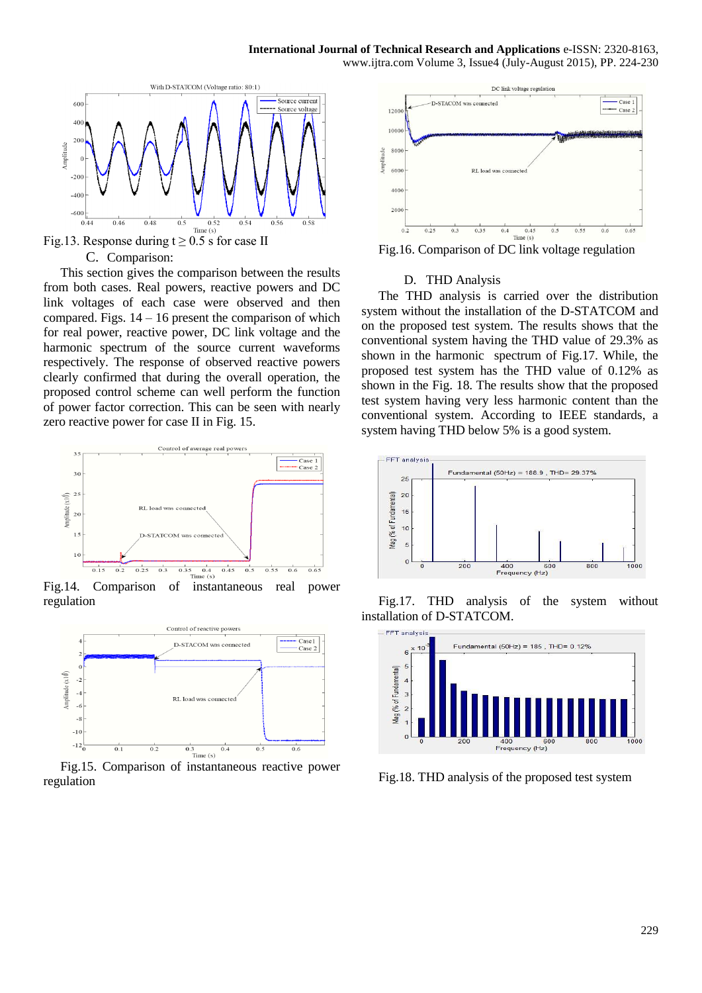

Fig.13. Response during  $t \ge 0.5$  s for case II C. Comparison:

This section gives the comparison between the results from both cases. Real powers, reactive powers and DC link voltages of each case were observed and then compared. Figs.  $14 - 16$  present the comparison of which for real power, reactive power, DC link voltage and the harmonic spectrum of the source current waveforms respectively. The response of observed reactive powers clearly confirmed that during the overall operation, the proposed control scheme can well perform the function of power factor correction. This can be seen with nearly zero reactive power for case II in Fig. 15.



Fig.14. Comparison of instantaneous real power regulation



Fig.15. Comparison of instantaneous reactive power regulation



Fig.16. Comparison of DC link voltage regulation

### D. THD Analysis

The THD analysis is carried over the distribution system without the installation of the D-STATCOM and on the proposed test system. The results shows that the conventional system having the THD value of 29.3% as shown in the harmonic spectrum of Fig.17. While, the proposed test system has the THD value of 0.12% as shown in the Fig. 18. The results show that the proposed test system having very less harmonic content than the conventional system. According to IEEE standards, a system having THD below 5% is a good system.



Fig.17. THD analysis of the system without installation of D-STATCOM.



Fig.18. THD analysis of the proposed test system